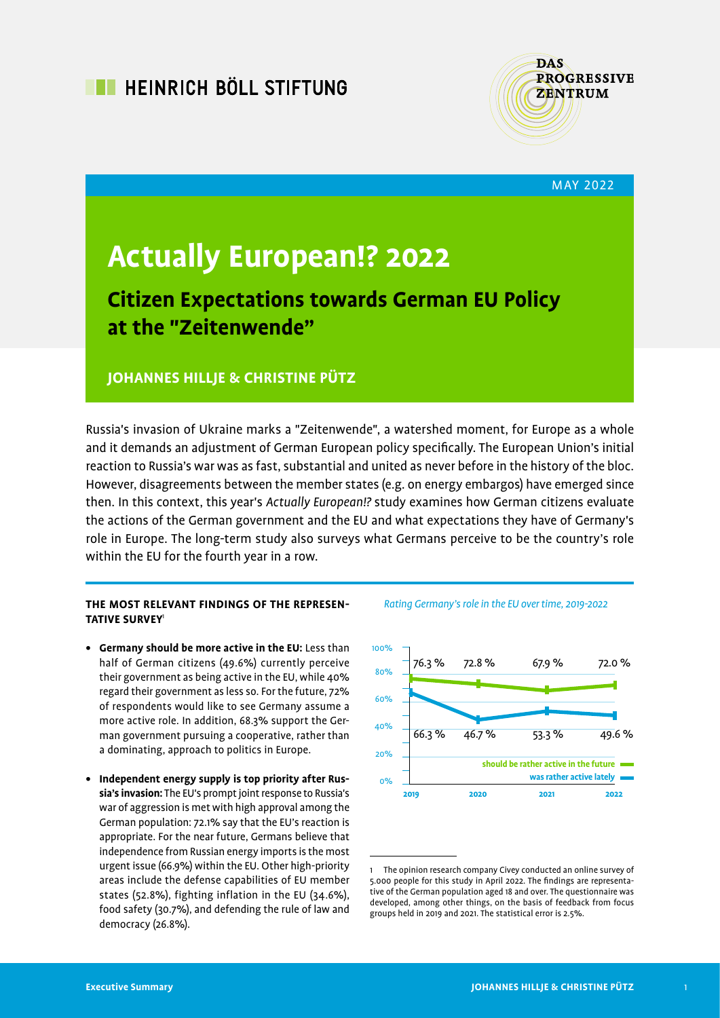

MAY 2022

# **Actually European!? 2022**

# **Citizen Expectations towards German EU Policy at the "Zeitenwende"**

## **JOHANNES HILLJE & CHRISTINE PÜTZ**

Russia's invasion of Ukraine marks a "Zeitenwende", a watershed moment, for Europe as a whole and it demands an adjustment of German European policy specifically. The European Union's initial reaction to Russia's war was as fast, substantial and united as never before in the history of the bloc. However, disagreements between the member states (e.g. on energy embargos) have emerged since then. In this context, this year's Actually European!? study examines how German citizens evaluate the actions of the German government and the EU and what expectations they have of Germany's role in Europe. The long-term study also surveys what Germans perceive to be the country's role within the EU for the fourth year in a row.

#### **THE MOST RELEVANT FINDINGS OF THE REPRESEN-TATIVE SURVEY**<sup>1</sup>

- **• Germany should be more active in the EU:** Less than half of German citizens (49.6%) currently perceive their government as being active in the EU, while 40% regard their government as less so. For the future, 72% of respondents would like to see Germany assume a more active role. In addition, 68.3% support the German government pursuing a cooperative, rather than a dominating, approach to politics in Europe.
- **• Independent energy supply is top priority after Russia's invasion:** The EU's prompt joint response to Russia's war of aggression is met with high approval among the German population: 72.1% say that the EU's reaction is appropriate. For the near future, Germans believe that independence from Russian energy imports is the most urgent issue (66.9%) within the EU. Other high-priority areas include the defense capabilities of EU member states (52.8%), fighting inflation in the EU (34.6%), food safety (30.7%), and defending the rule of law and democracy (26.8%).



Rating Germany's role in the EU over time, 2019-2022

<sup>1</sup> The opinion research company Civey conducted an online survey of 5.000 people for this study in April 2022. The findings are representative of the German population aged 18 and over. The questionnaire was developed, among other things, on the basis of feedback from focus groups held in 2019 and 2021. The statistical error is 2.5%.